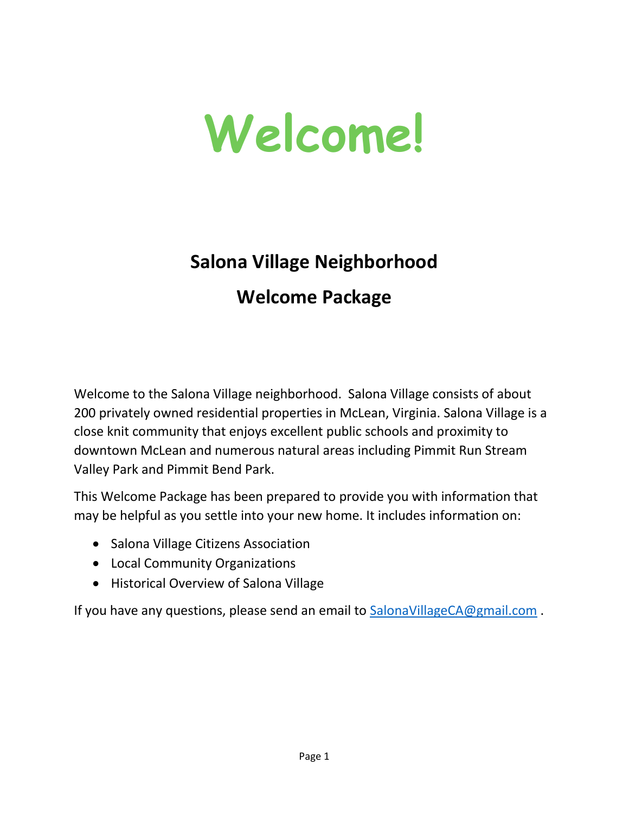

## **Salona Village Neighborhood Welcome Package**

Welcome to the Salona Village neighborhood. Salona Village consists of about 200 privately owned residential properties in McLean, Virginia. Salona Village is a close knit community that enjoys excellent public schools and proximity to downtown McLean and numerous natural areas including Pimmit Run Stream Valley Park and Pimmit Bend Park.

This Welcome Package has been prepared to provide you with information that may be helpful as you settle into your new home. It includes information on:

- Salona Village Citizens Association
- Local Community Organizations
- Historical Overview of Salona Village

If you have any questions, please send an email to [SalonaVillageCA@gmail.com](mailto:SalonaVillageCA@gmail.com).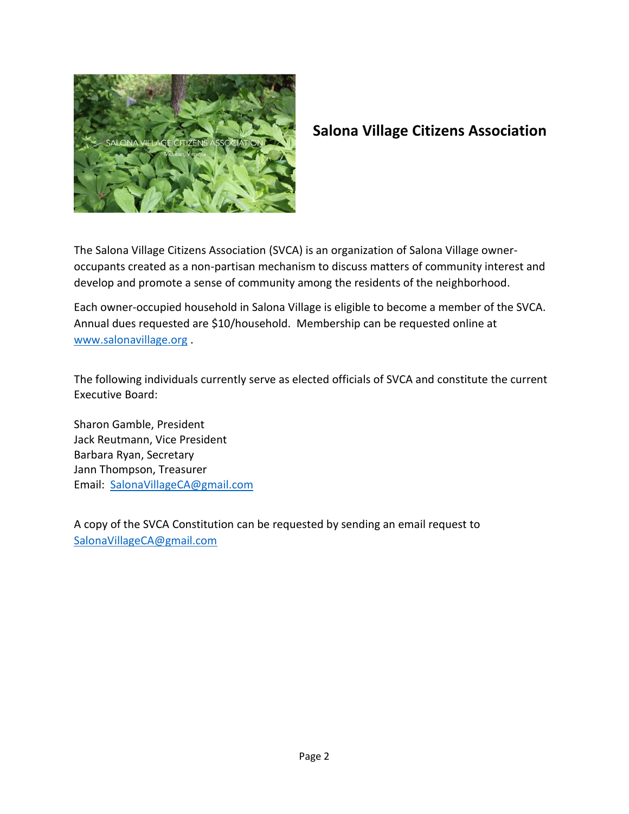

## **Salona Village Citizens Association**

The Salona Village Citizens Association (SVCA) is an organization of Salona Village owneroccupants created as a non-partisan mechanism to discuss matters of community interest and develop and promote a sense of community among the residents of the neighborhood.

Each owner-occupied household in Salona Village is eligible to become a member of the SVCA. Annual dues requested are \$10/household. Membership can be requested online at [www.salonavillage.org](http://www.salonavillage.org/) .

The following individuals currently serve as elected officials of SVCA and constitute the current Executive Board:

Sharon Gamble, President Jack Reutmann, Vice President Barbara Ryan, Secretary Jann Thompson, Treasurer Email: [SalonaVillageCA@gmail.com](mailto:SalonaVillageCA@gmail.com)

A copy of the SVCA Constitution can be requested by sending an email request to [SalonaVillageCA@gmail.com](mailto:SalonaVillageCA@gmail.com)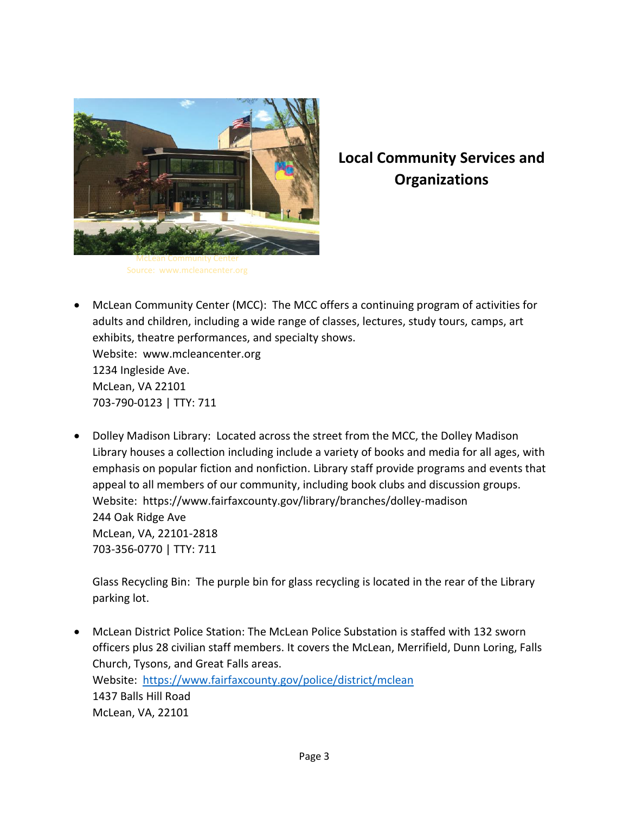

## **Local Community Services and Organizations**

- McLean Community Center (MCC): The MCC offers a continuing program of activities for adults and children, including a wide range of classes, lectures, study tours, camps, art exhibits, theatre performances, and specialty shows. Website: www.mcleancenter.org 1234 Ingleside Ave. McLean, VA 22101 703-790-0123 | TTY: 711
- Dolley Madison Library: Located across the street from the MCC, the Dolley Madison Library houses a collection including include a variety of books and media for all ages, with emphasis on popular fiction and nonfiction. Library staff provide programs and events that appeal to all members of our community, including book clubs and discussion groups. Website: https://www.fairfaxcounty.gov/library/branches/dolley-madison 244 Oak Ridge Ave McLean, VA, 22101-2818 703-356-0770 | TTY: 711

Glass Recycling Bin: The purple bin for glass recycling is located in the rear of the Library parking lot.

 McLean District Police Station: The McLean Police Substation is staffed with 132 sworn officers plus 28 civilian staff members. It covers the McLean, Merrifield, Dunn Loring, Falls Church, Tysons, and Great Falls areas. Website: <https://www.fairfaxcounty.gov/police/district/mclean> 1437 Balls Hill Road McLean, VA, 22101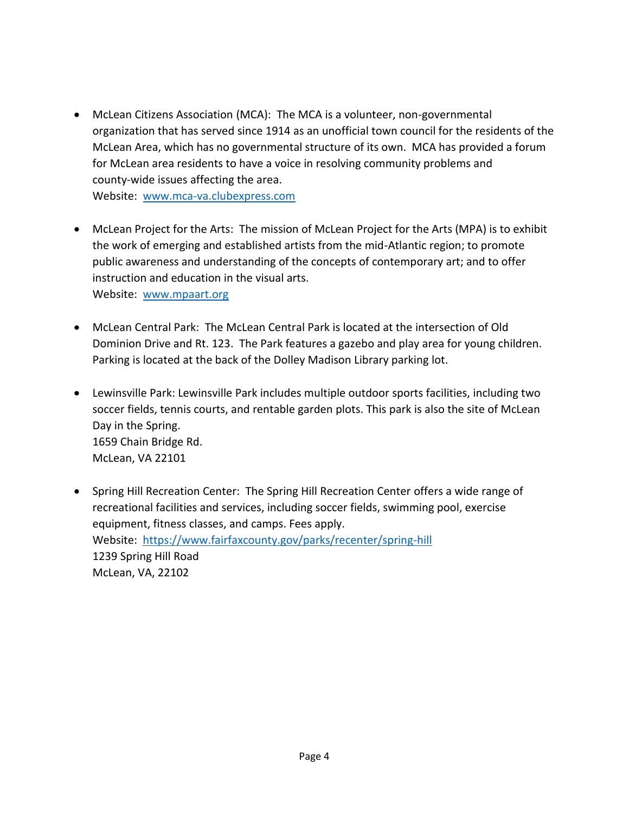McLean Citizens Association (MCA): The MCA is a volunteer, non-governmental organization that has served since 1914 as an unofficial town council for the residents of the McLean Area, which has no governmental structure of its own. MCA has provided a forum for McLean area residents to have a voice in resolving community problems and county-wide issues affecting the area.

Website: [www.mca-va.clubexpress.com](http://www.mca-va.clubexpress.com/)

- McLean Project for the Arts: The mission of McLean Project for the Arts (MPA) is to exhibit the work of emerging and established artists from the mid-Atlantic region; to promote public awareness and understanding of the concepts of contemporary art; and to offer instruction and education in the visual arts. Website: [www.mpaart.org](http://www.mpaart.org/)
- McLean Central Park: The McLean Central Park is located at the intersection of Old Dominion Drive and Rt. 123. The Park features a gazebo and play area for young children. Parking is located at the back of the Dolley Madison Library parking lot.
- Lewinsville Park: Lewinsville Park includes multiple outdoor sports facilities, including two soccer fields, tennis courts, and rentable garden plots. This park is also the site of McLean Day in the Spring. 1659 Chain Bridge Rd. McLean, VA 22101
- Spring Hill Recreation Center: The Spring Hill Recreation Center offers a wide range of recreational facilities and services, including soccer fields, swimming pool, exercise equipment, fitness classes, and camps. Fees apply. Website: <https://www.fairfaxcounty.gov/parks/recenter/spring-hill> 1239 Spring Hill Road McLean, VA, 22102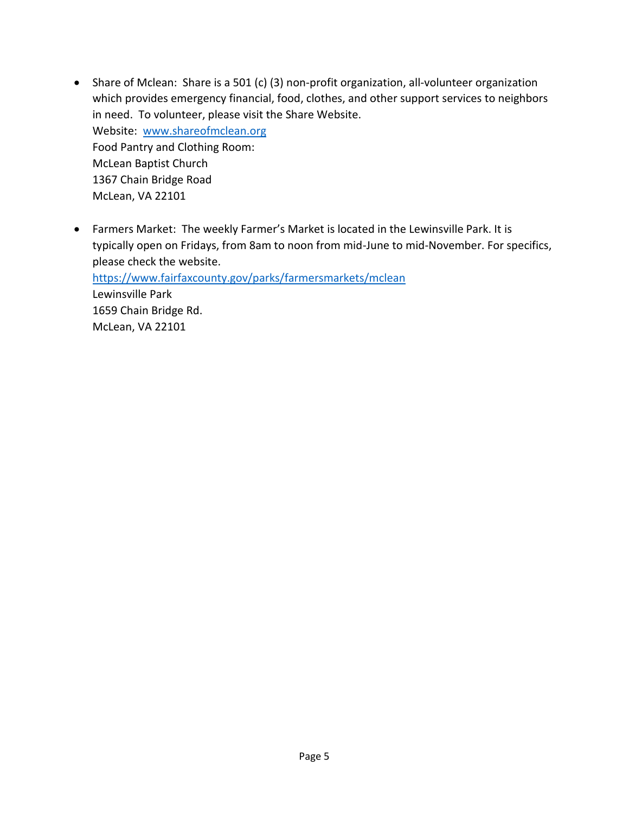- Share of Mclean: Share is a 501 (c) (3) non-profit organization, all-volunteer organization which provides emergency financial, food, clothes, and other support services to neighbors in need. To volunteer, please visit the Share Website. Website: [www.shareofmclean.org](http://www.shareofmclean.org/) Food Pantry and Clothing Room: McLean Baptist Church 1367 Chain Bridge Road McLean, VA 22101
- Farmers Market: The weekly Farmer's Market is located in the Lewinsville Park. It is typically open on Fridays, from 8am to noon from mid-June to mid-November. For specifics, please check the website.

<https://www.fairfaxcounty.gov/parks/farmersmarkets/mclean> Lewinsville Park 1659 Chain Bridge Rd. McLean, VA 22101